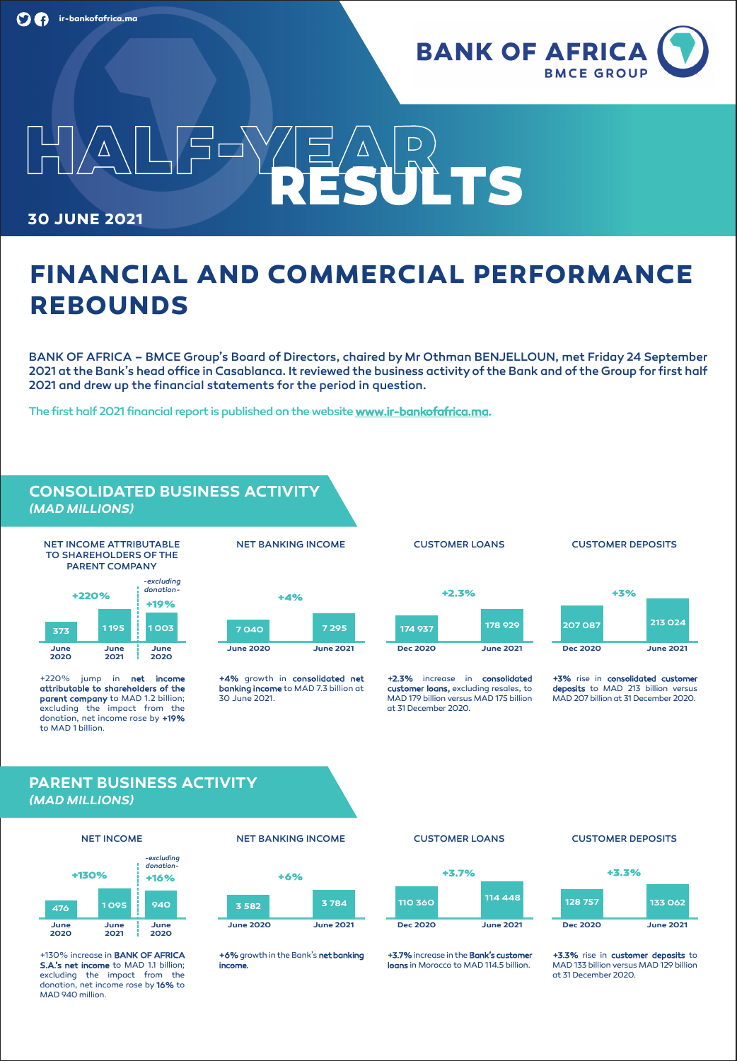

# **HALF-YEAR 30 JUNE 2021 RESULTS**

# **FINANCIAL AND COMMERCIAL PERFORMANCE REBOUNDS**

BANK OF AFRICA – BMCE Group's Board of Directors, chaired by Mr Othman BENJELLOUN, met Friday 24 September 2021 at the Bank's head office in Casablanca. It reviewed the business activityof the Bank and of the Group for first half 2021 and drew up the financial statements for the period in question.

The first half 2021 financial report is published on the website **www.ir-bankofafrica.ma.**

# **CONSOLIDATED BUSINESS ACTIVITY** *(MAD MILLIONS)*





+220% jump in **net income attributable to shareholders of the parent company** to MAD 1.2 billion; excluding the impact from the donation, net income rose by **+19%** to MAD 1 billion.

NET BANKING INCOME



**+4%** growth in **consolidated net banking income** to MAD 7.3 billion at 30 June 2021.

### CUSTOMER LOANS

# CUSTOMER DEPOSITS



**+2.3%** increase in **consolidated customer loans,** excluding resales, to MAD 179 billion versus MAD 175 billion at 31 December 2020.



**+3%** rise in **consolidated customer deposits** to MAD 213 billion versus MAD 207 billion at 31 December 2020.

# **PARENT BUSINESS ACTIVITY** *(MAD MILLIONS)*



+130% increase in **BANK OF AFRICA S.A.'s net income** to MAD 1.1 billion; excluding the impact from the donation, net income rose by **16%** to MAD 940 million.

#### NET BANKING INCOME



**+6%** growth in the Bank's **net banking income.**



CUSTOMER LOANS

**+3.7%**increase in the **Bank's customer loans** in Morocco to MAD 114.5 billion.

#### CUSTOMER DEPOSITS



**+3.3%** rise in **customer deposits** to MAD 133 billion versus MAD 129 billion at 31 December 2020.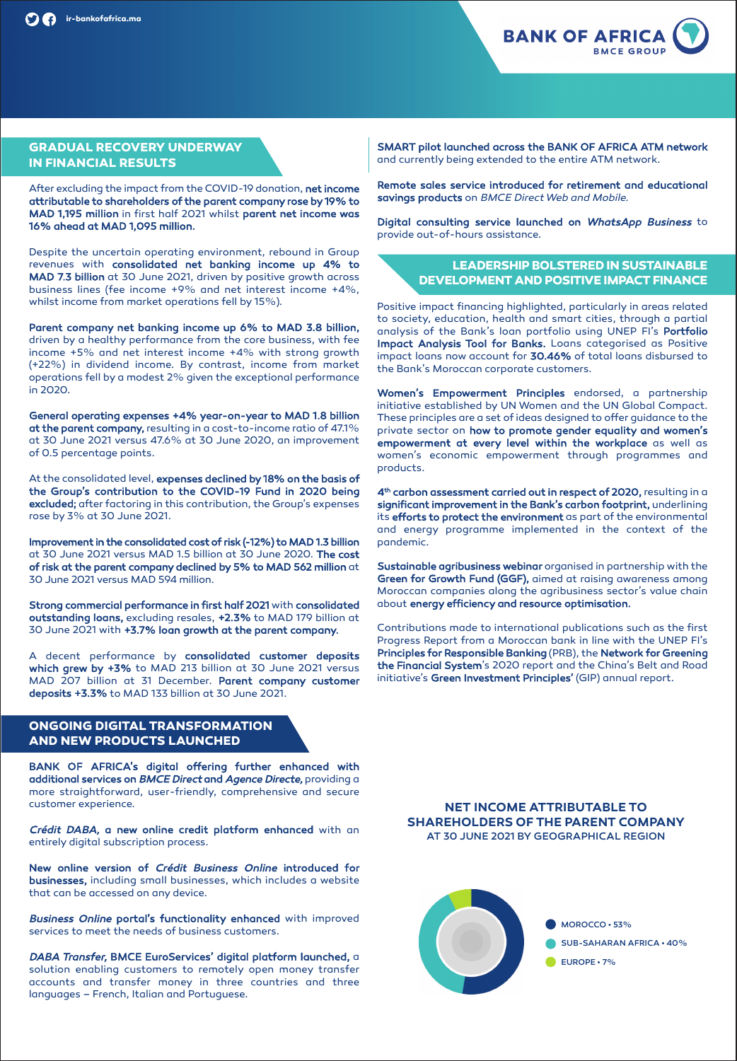

# **GRADUAL RECOVERY UNDERWAY IN FINANCIAL RESULTS**

After excluding the impact from the COVID-19 donation, **net income attributable to shareholders of the parent company rose by 19% to MAD 1,195 million** in first half 2021 whilst **parent net income was 16% ahead at MAD 1,095 million.**

Despite the uncertain operating environment, rebound in Group revenues with **consolidated net banking income up 4% to MAD 7.3 billion** at 30 June 2021, driven by positive growth across business lines (fee income +9% and net interest income +4%, whilst income from market operations fell by 15%).

**Parent company net banking income up 6% to MAD 3.8 billion,** driven by a healthy performance from the core business, with fee income +5% and net interest income +4% with strong growth (+22%) in dividend income. By contrast, income from market operations fell by a modest 2% given the exceptional performance in 2020.

**General operating expenses +4% year-on-year to MAD 1.8 billion at the parent company,**resulting in a cost-to-income ratio of 47.1% at 30 June 2021 versus 47.6% at 30 June 2020, an improvement of 0.5 percentage points.

At the consolidated level, **expenses declined by 18% on the basis of the Group's contribution to the COVID-19 Fund in 2020 being excluded;** after factoring in this contribution, the Group's expenses rose by 3% at 30 June 2021.

**Improvement in the consolidated cost of risk (-12%) to MAD 1.3 billion** at 30 June 2021 versus MAD 1.5 billion at 30 June 2020. **The cost of risk at the parent company declined by 5% to MAD 562 million** at 30 June 2021 versus MAD 594 million.

**Strong commercial performance in first half 2021** with **consolidated outstanding loans,** excluding resales, **+2.3%** to MAD 179 billion at 30 June 2021 with **+3.7% loan growth at the parent company.**

A decent performance by **consolidated customer deposits which grew by +3%** to MAD 213 billion at 30 June 2021 versus MAD 207 billion at 31 December. **Parent company customer deposits +3.3%** to MAD 133 billion at 30 June 2021.

# **ONGOING DIGITAL TRANSFORMATION AND NEW PRODUCTS LAUNCHED**

**BANK OF AFRICA's digital offering further enhanced with additional services on** BMCE Direct **and** Agence Directe, providing a more straightforward, user-friendly, comprehensive and secure customer experience.

Crédit DABA, **a new online credit platform enhanced** with an entirely digital subscription process.

**New online version of** Crédit Business Online **introduced for businesses,** including small businesses, which includes a website that can be accessed on any device.

Business Online **portal's functionality enhanced** with improved services to meet the needs of business customers.

DABA Transfer, **BMCE EuroServices' digital platform launched,** a solution enabling customers to remotely open money transfer accounts and transfer money in three countries and three languages – French, Italian and Portuguese.

**SMART pilot launched across the BANK OF AFRICA ATM network** and currently being extended to the entire ATM network.

**Remote sales service introduced for retirement and educational savings products** on **BMCE DirectWeb and Mobile.**

**Digital consulting service launched on** WhatsApp Business to provide out-of-hours assistance.

# **LEADERSHIPBOLSTERED IN SUSTAINABLE DEVELOPMENT AND POSITIVE IMPACT FINANCE**

Positive impact financing highlighted, particularly in areas related to society, education, health and smart cities, through a partial analysis of the Bank's loan portfolio using UNEP FI's **Portfolio Impact Analysis Tool for Banks.** Loans categorised as Positive impact loans now account for **30.46%** of total loans disbursed to the Bank's Moroccan corporate customers.

**Women's Empowerment Principles** endorsed, a partnership initiative established by UN Women and the UN Global Compact. These principles are a set of ideas designed to offer guidance to the private sector on **how to promote gender equality and women's empowerment at every level within the workplace** as well as women's economic empowerment through programmes and products.

**4th carbon assessment carried out in respect of 2020,** resulting in a **significant improvement in the Bank's carbon footprint,** underlining its **efforts to protect the environment** as part of the environmental and energy programme implemented in the context of the pandemic.

**Sustainable agribusiness webinar** organised in partnership with the **Green for Growth Fund (GGF),** aimed at raising awareness among Moroccan companies along the agribusiness sector's value chain about **energy efficiency and resource optimisation.**

Contributions made to international publications such as the first Progress Report from a Moroccan bank in line with the UNEP FI's **Principles for Responsible Banking** (PRB), the **Network for Greening the Financial System**'s 2020 report and the China's Belt and Road initiative's **Green Investment Principles'** (GIP) annual report.

**NET INCOME ATTRIBUTABLE TO SHAREHOLDERS OF THE PARENT COMPANY** AT 30 JUNE 2021 BY GEOGRAPHICAL REGION